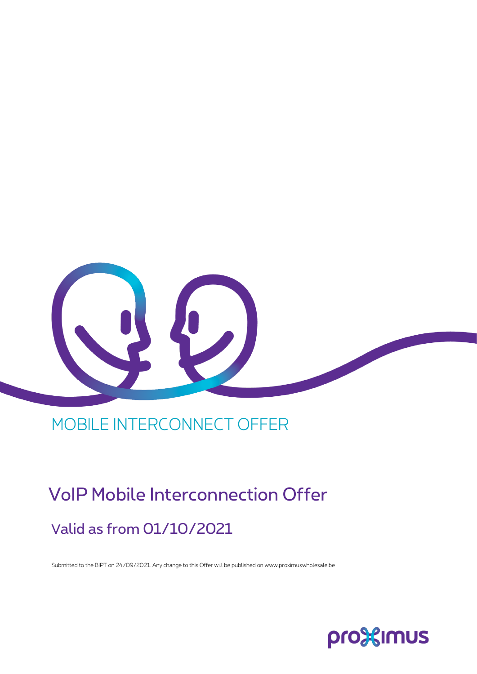

## MOBILE INTERCONNECT OFFER

# VoIP Mobile Interconnection Offer Valid as from 01/10/2021

Submitted to the BIPT on 24/09/2021. Any change to this Offer will be published on www.proximuswholesale.be

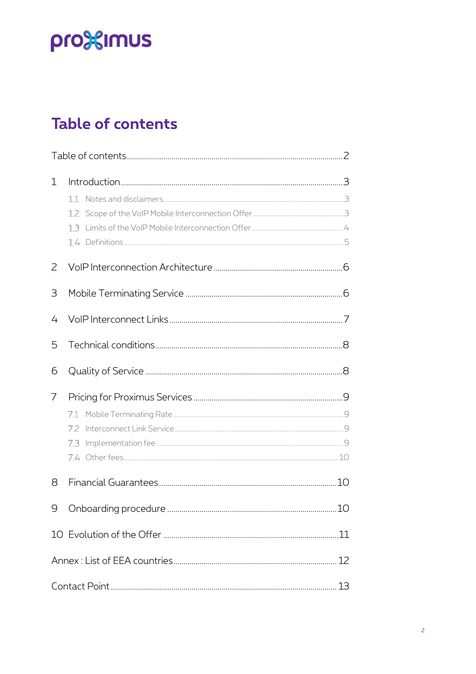# pro<sup>92</sup> Imus

## <span id="page-1-0"></span>**Table of contents**

| 1 |     |  |  |
|---|-----|--|--|
| 2 |     |  |  |
| 3 |     |  |  |
| 4 |     |  |  |
| 5 |     |  |  |
| 6 |     |  |  |
| 7 | 7.2 |  |  |
| 8 |     |  |  |
|   |     |  |  |
|   |     |  |  |
|   |     |  |  |
|   |     |  |  |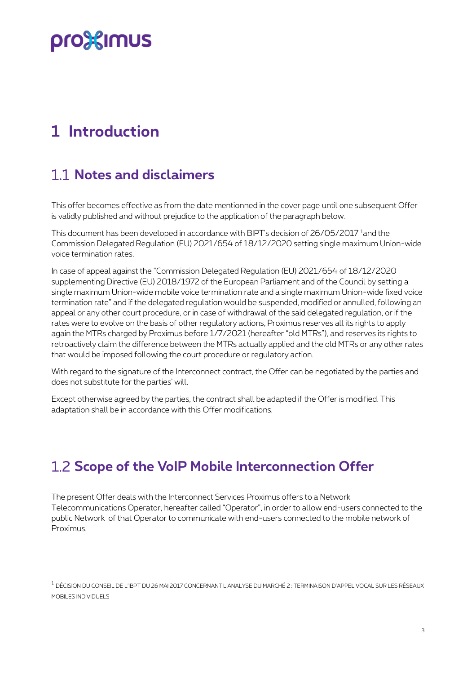## <span id="page-2-0"></span>**1 Introduction**

#### <span id="page-2-1"></span>**Notes and disclaimers**

This offer becomes effective as from the date mentionned in the cover page until one subsequent Offer is validly published and without prejudice to the application of the paragraph below.

This document has been developed in accordance with BIPT's decision of 26/05/2017<sup>1</sup> and the Commission Delegated Regulation (EU) 2021/654 of 18/12/2020 setting single maximum Union-wide voice termination rates.

In case of appeal against the "Commission Delegated Regulation (EU) 2021/654 of 18/12/2020 supplementing Directive (EU) 2018/1972 of the European Parliament and of the Council by setting a single maximum Union-wide mobile voice termination rate and a single maximum Union-wide fixed voice termination rate" and if the delegated regulation would be suspended, modified or annulled, following an appeal or any other court procedure, or in case of withdrawal of the said delegated regulation, or if the rates were to evolve on the basis of other regulatory actions, Proximus reserves all its rights to apply again the MTRs charged by Proximus before 1/7/2021 (hereafter "old MTRs"), and reserves its rights to retroactively claim the difference between the MTRs actually applied and the old MTRs or any other rates that would be imposed following the court procedure or regulatory action.

With regard to the signature of the Interconnect contract, the Offer can be negotiated by the parties and does not substitute for the parties' will.

Except otherwise agreed by the parties, the contract shall be adapted if the Offer is modified. This adaptation shall be in accordance with this Offer modifications.

#### <span id="page-2-2"></span>**Scope of the VoIP Mobile Interconnection Offer**

The present Offer deals with the Interconnect Services Proximus offers to a Network Telecommunications Operator, hereafter called "Operator", in order to allow end-users connected to the public Network of that Operator to communicate with end-users connected to the mobile network of Proximus.

<sup>1</sup> DÉCISION DU CONSEIL DE L'IBPT DU 26 MAI 2017 CONCERNANT L'ANALYSE DU MARCHÉ 2 : TERMINAISON D'APPEL VOCAL SUR LES RÉSEAUX MOBILES INDIVIDUELS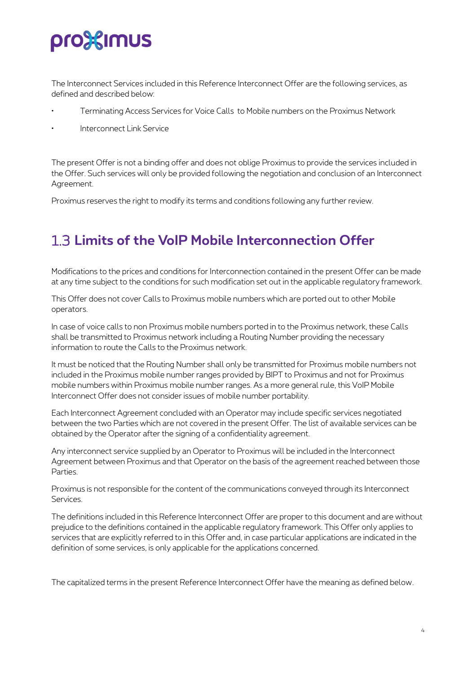The Interconnect Services included in this Reference Interconnect Offer are the following services, as defined and described below:

- Terminating Access Services for Voice Calls to Mobile numbers on the Proximus Network
- Interconnect Link Service

The present Offer is not a binding offer and does not oblige Proximus to provide the services included in the Offer. Such services will only be provided following the negotiation and conclusion of an Interconnect Agreement.

<span id="page-3-0"></span>Proximus reserves the right to modify its terms and conditions following any further review.

#### **Limits of the VoIP Mobile Interconnection Offer**

Modifications to the prices and conditions for Interconnection contained in the present Offer can be made at any time subject to the conditions for such modification set out in the applicable regulatory framework.

This Offer does not cover Calls to Proximus mobile numbers which are ported out to other Mobile operators.

In case of voice calls to non Proximus mobile numbers ported in to the Proximus network, these Calls shall be transmitted to Proximus network including a Routing Number providing the necessary information to route the Calls to the Proximus network.

It must be noticed that the Routing Number shall only be transmitted for Proximus mobile numbers not included in the Proximus mobile number ranges provided by BIPT to Proximus and not for Proximus mobile numbers within Proximus mobile number ranges. As a more general rule, this VoIP Mobile Interconnect Offer does not consider issues of mobile number portability.

Each Interconnect Agreement concluded with an Operator may include specific services negotiated between the two Parties which are not covered in the present Offer. The list of available services can be obtained by the Operator after the signing of a confidentiality agreement.

Any interconnect service supplied by an Operator to Proximus will be included in the Interconnect Agreement between Proximus and that Operator on the basis of the agreement reached between those Parties.

Proximus is not responsible for the content of the communications conveyed through its Interconnect Services.

The definitions included in this Reference Interconnect Offer are proper to this document and are without prejudice to the definitions contained in the applicable regulatory framework. This Offer only applies to services that are explicitly referred to in this Offer and, in case particular applications are indicated in the definition of some services, is only applicable for the applications concerned.

The capitalized terms in the present Reference Interconnect Offer have the meaning as defined below.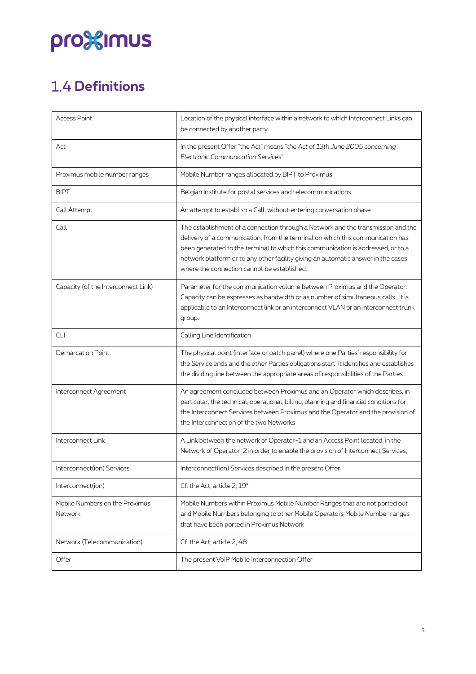## <span id="page-4-0"></span>**1.4 Definitions**

| <b>Access Point</b>                       | Location of the physical interface within a network to which Interconnect Links can<br>be connected by another party.                                                                                                                                                                                                                                                                      |  |
|-------------------------------------------|--------------------------------------------------------------------------------------------------------------------------------------------------------------------------------------------------------------------------------------------------------------------------------------------------------------------------------------------------------------------------------------------|--|
| Act                                       | In the present Offer "the Act" means "the Act of 13th June 2005 concerning<br><b>Electronic Communication Services"</b>                                                                                                                                                                                                                                                                    |  |
| Proximus mobile number ranges             | Mobile Number ranges allocated by BIPT to Proximus                                                                                                                                                                                                                                                                                                                                         |  |
| <b>BIPT</b>                               | Belgian Institute for postal services and telecommunications                                                                                                                                                                                                                                                                                                                               |  |
| Call Attempt                              | An attempt to establish a Call, without entering conversation phase.                                                                                                                                                                                                                                                                                                                       |  |
| Call                                      | The establishment of a connection through a Network and the transmission and the<br>delivery of a communication, from the terminal on which this communication has<br>been generated to the terminal to which this communication is addressed, or to a<br>network platform or to any other facility giving an automatic answer in the cases<br>where the connection cannot be established. |  |
| Capacity (of the Interconnect Link)       | Parameter for the communication volume between Proximus and the Operator.<br>Capacity can be expresses as bandwidth or as number of simultaneous calls. It is<br>applicable to an Interconnect link or an interconnect VLAN or an interconnect trunk<br>group.                                                                                                                             |  |
| <b>CLI</b>                                | Calling Line Identification                                                                                                                                                                                                                                                                                                                                                                |  |
| Demarcation Point                         | The physical point (interface or patch panel) where one Parties' responsibility for<br>the Service ends and the other Parties obligations start. It identifies and establishes<br>the dividing line between the appropriate areas of responsibilities of the Parties.                                                                                                                      |  |
| Interconnect Agreement                    | An agreement concluded between Proximus and an Operator which describes, in<br>particular, the technical, operational, billing, planning and financial conditions for<br>the Interconnect Services between Proximus and the Operator and the provision of<br>the Interconnection of the two Networks                                                                                       |  |
| Interconnect Link                         | A Link between the network of Operator-1 and an Access Point located, in the<br>Network of Operator-2 in order to enable the provision of Interconnect Services,                                                                                                                                                                                                                           |  |
| Interconnect(ion) Services                | Interconnect(ion) Services described in the present Offer                                                                                                                                                                                                                                                                                                                                  |  |
| Interconnect(ion)                         | Cf. the Act, article 2, 19°                                                                                                                                                                                                                                                                                                                                                                |  |
| Mobile Numbers on the Proximus<br>Network | Mobile Numbers within Proximus Mobile Number Ranges that are not ported out<br>and Mobile Numbers belonging to other Mobile Operators Mobile Number ranges<br>that have been ported in Proximus Network                                                                                                                                                                                    |  |
| Network (Telecommunication)               | Cf. the Act, article 2, 48                                                                                                                                                                                                                                                                                                                                                                 |  |
| Offer                                     | The present VoIP Mobile Interconnection Offer                                                                                                                                                                                                                                                                                                                                              |  |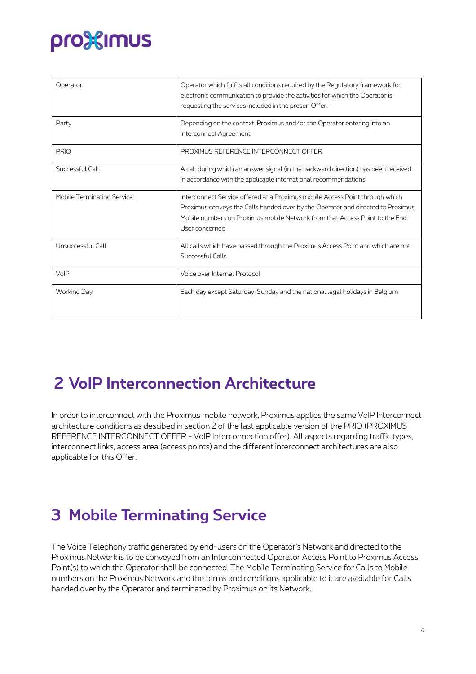| Operator                    | Operator which fulfils all conditions required by the Regulatory framework for<br>electronic communication to provide the activities for which the Operator is<br>requesting the services included in the presen Offer.                                           |
|-----------------------------|-------------------------------------------------------------------------------------------------------------------------------------------------------------------------------------------------------------------------------------------------------------------|
| Party                       | Depending on the context, Proximus and/or the Operator entering into an<br>Interconnect Agreement                                                                                                                                                                 |
| <b>PRIO</b>                 | PROXIMUS REFERENCE INTERCONNECT OFFER                                                                                                                                                                                                                             |
| Successful Call:            | A call during which an answer signal (in the backward direction) has been received<br>in accordance with the applicable international recommendations                                                                                                             |
| Mobile Terminating Service: | Interconnect Service offered at a Proximus mobile Access Point through which<br>Proximus conveys the Calls handed over by the Operator and directed to Proximus<br>Mobile numbers on Proximus mobile Network from that Access Point to the End-<br>User concerned |
| Unsuccessful Call           | All calls which have passed through the Proximus Access Point and which are not<br>Successful Calls                                                                                                                                                               |
| VoIP                        | Voice over Internet Protocol                                                                                                                                                                                                                                      |
| Working Day:                | Each day except Saturday, Sunday and the national legal holidays in Belgium                                                                                                                                                                                       |

### <span id="page-5-0"></span>**2 VoIP Interconnection Architecture**

In order to interconnect with the Proximus mobile network, Proximus applies the same VoIP Interconnect architecture conditions as descibed in section 2 of the last applicable version of the PRIO (PROXIMUS REFERENCE INTERCONNECT OFFER - VoIP Interconnection offer). All aspects regarding traffic types, interconnect links, access area (access points) and the different interconnect architectures are also applicable for this Offer.

## <span id="page-5-1"></span>**3 Mobile Terminating Service**

The Voice Telephony traffic generated by end-users on the Operator's Network and directed to the Proximus Network is to be conveyed from an Interconnected Operator Access Point to Proximus Access Point(s) to which the Operator shall be connected. The Mobile Terminating Service for Calls to Mobile numbers on the Proximus Network and the terms and conditions applicable to it are available for Calls handed over by the Operator and terminated by Proximus on its Network.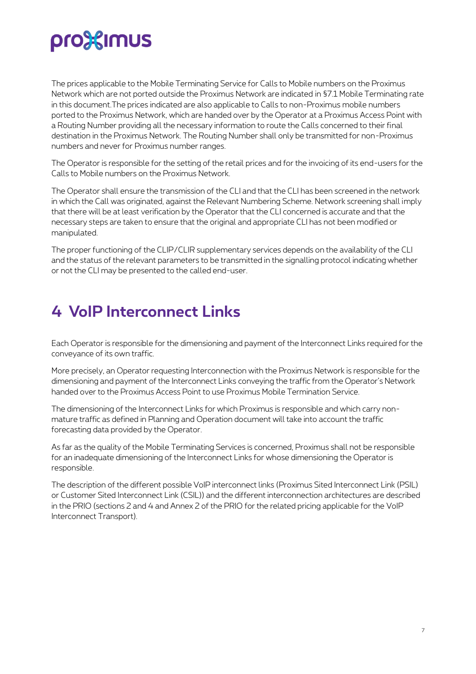The prices applicable to the Mobile Terminating Service for Calls to Mobile numbers on the Proximus Network which are not ported outside the Proximus Network are indicated in §7.1 Mobile Terminating rate in this document.The prices indicated are also applicable to Calls to non-Proximus mobile numbers ported to the Proximus Network, which are handed over by the Operator at a Proximus Access Point with a Routing Number providing all the necessary information to route the Calls concerned to their final destination in the Proximus Network. The Routing Number shall only be transmitted for non-Proximus numbers and never for Proximus number ranges.

The Operator is responsible for the setting of the retail prices and for the invoicing of its end-users for the Calls to Mobile numbers on the Proximus Network.

The Operator shall ensure the transmission of the CLI and that the CLI has been screened in the network in which the Call was originated, against the Relevant Numbering Scheme. Network screening shall imply that there will be at least verification by the Operator that the CLI concerned is accurate and that the necessary steps are taken to ensure that the original and appropriate CLI has not been modified or manipulated.

The proper functioning of the CLIP/CLIR supplementary services depends on the availability of the CLI and the status of the relevant parameters to be transmitted in the signalling protocol indicating whether or not the CLI may be presented to the called end-user.

### <span id="page-6-0"></span>**4 VoIP Interconnect Links**

Each Operator is responsible for the dimensioning and payment of the Interconnect Links required for the conveyance of its own traffic.

More precisely, an Operator requesting Interconnection with the Proximus Network is responsible for the dimensioning and payment of the Interconnect Links conveying the traffic from the Operator's Network handed over to the Proximus Access Point to use Proximus Mobile Termination Service.

The dimensioning of the Interconnect Links for which Proximus is responsible and which carry nonmature traffic as defined in Planning and Operation document will take into account the traffic forecasting data provided by the Operator.

As far as the quality of the Mobile Terminating Services is concerned, Proximus shall not be responsible for an inadequate dimensioning of the Interconnect Links for whose dimensioning the Operator is responsible.

The description of the different possible VoIP interconnect links (Proximus Sited Interconnect Link (PSIL) or Customer Sited Interconnect Link (CSIL)) and the different interconnection architectures are described in the PRIO (sections 2 and 4 and Annex 2 of the PRIO for the related pricing applicable for the VoIP Interconnect Transport).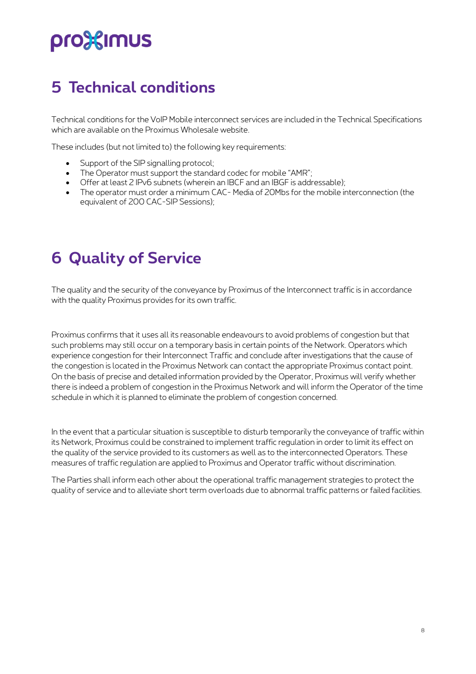## <span id="page-7-0"></span>**5 Technical conditions**

Technical conditions for the VoIP Mobile interconnect services are included in the Technical Specifications which are available on the Proximus Wholesale website.

These includes (but not limited to) the following key requirements:

- Support of the SIP signalling protocol;
- The Operator must support the standard codec for mobile "AMR":
- Offer at least 2 IPv6 subnets (wherein an IBCF and an IBGF is addressable);
- The operator must order a minimum CAC- Media of 20Mbs for the mobile interconnection (the equivalent of 200 CAC-SIP Sessions);

#### <span id="page-7-1"></span>**6 Quality of Service**

The quality and the security of the conveyance by Proximus of the Interconnect traffic is in accordance with the quality Proximus provides for its own traffic.

Proximus confirms that it uses all its reasonable endeavours to avoid problems of congestion but that such problems may still occur on a temporary basis in certain points of the Network. Operators which experience congestion for their Interconnect Traffic and conclude after investigations that the cause of the congestion is located in the Proximus Network can contact the appropriate Proximus contact point. On the basis of precise and detailed information provided by the Operator, Proximus will verify whether there is indeed a problem of congestion in the Proximus Network and will inform the Operator of the time schedule in which it is planned to eliminate the problem of congestion concerned.

In the event that a particular situation is susceptible to disturb temporarily the conveyance of traffic within its Network, Proximus could be constrained to implement traffic regulation in order to limit its effect on the quality of the service provided to its customers as well as to the interconnected Operators. These measures of traffic regulation are applied to Proximus and Operator traffic without discrimination.

The Parties shall inform each other about the operational traffic management strategies to protect the quality of service and to alleviate short term overloads due to abnormal traffic patterns or failed facilities.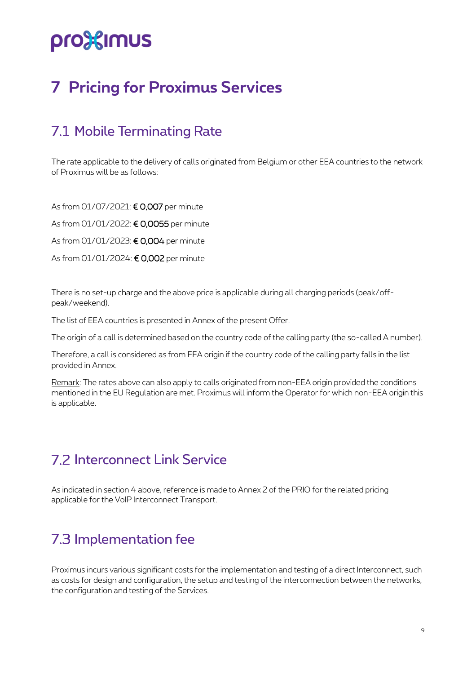## <span id="page-8-0"></span>**7 Pricing for Proximus Services**

#### <span id="page-8-1"></span>7.1 Mobile Terminating Rate

The rate applicable to the delivery of calls originated from Belgium or other EEA countries to the network of Proximus will be as follows:

As from 01/07/2021: € 0,007 per minute

As from 01/01/2022: € 0,0055 per minute

As from 01/01/2023: € 0,004 per minute

As from 01/01/2024: € 0,002 per minute

There is no set-up charge and the above price is applicable during all charging periods (peak/offpeak/weekend).

The list of EEA countries is presented in Annex of the present Offer.

The origin of a call is determined based on the country code of the calling party (the so-called A number).

Therefore, a call is considered as from EEA origin if the country code of the calling party falls in the list provided in Annex.

Remark: The rates above can also apply to calls originated from non-EEA origin provided the conditions mentioned in the EU Regulation are met. Proximus will inform the Operator for which non-EEA origin this is applicable.

#### <span id="page-8-2"></span>**7.2 Interconnect Link Service**

<span id="page-8-3"></span>As indicated in section 4 above, reference is made to Annex 2 of the PRIO for the related pricing applicable for the VoIP Interconnect Transport.

#### 7.3 Implementation fee

Proximus incurs various significant costs for the implementation and testing of a direct Interconnect, such as costs for design and configuration, the setup and testing of the interconnection between the networks, the configuration and testing of the Services.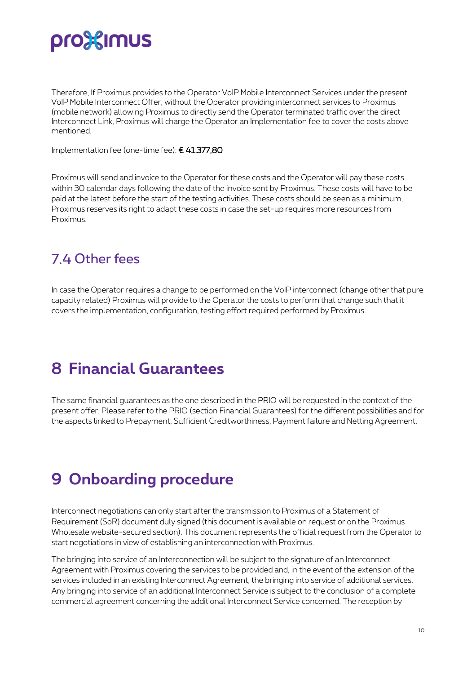Therefore, If Proximus provides to the Operator VoIP Mobile Interconnect Services under the present VoIP Mobile Interconnect Offer, without the Operator providing interconnect services to Proximus (mobile network) allowing Proximus to directly send the Operator terminated traffic over the direct Interconnect Link, Proximus will charge the Operator an Implementation fee to cover the costs above mentioned.

Implementation fee (one-time fee): € 41.377,80

Proximus will send and invoice to the Operator for these costs and the Operator will pay these costs within 30 calendar days following the date of the invoice sent by Proximus. These costs will have to be paid at the latest before the start of the testing activities. These costs should be seen as a minimum, Proximus reserves its right to adapt these costs in case the set-up requires more resources from Proximus.

#### <span id="page-9-0"></span>74 Other fees

In case the Operator requires a change to be performed on the VoIP interconnect (change other that pure capacity related) Proximus will provide to the Operator the costs to perform that change such that it covers the implementation, configuration, testing effort required performed by Proximus.

### <span id="page-9-1"></span>**8 Financial Guarantees**

The same financial guarantees as the one described in the PRIO will be requested in the context of the present offer. Please refer to the PRIO (section Financial Guarantees) for the different possibilities and for the aspects linked to Prepayment, Sufficient Creditworthiness, Payment failure and Netting Agreement.

### <span id="page-9-2"></span>**9 Onboarding procedure**

Interconnect negotiations can only start after the transmission to Proximus of a Statement of Requirement (SoR) document duly signed (this document is available on request or on the Proximus Wholesale website-secured section). This document represents the official request from the Operator to start negotiations in view of establishing an interconnection with Proximus.

The bringing into service of an Interconnection will be subject to the signature of an Interconnect Agreement with Proximus covering the services to be provided and, in the event of the extension of the services included in an existing Interconnect Agreement, the bringing into service of additional services. Any bringing into service of an additional Interconnect Service is subject to the conclusion of a complete commercial agreement concerning the additional Interconnect Service concerned. The reception by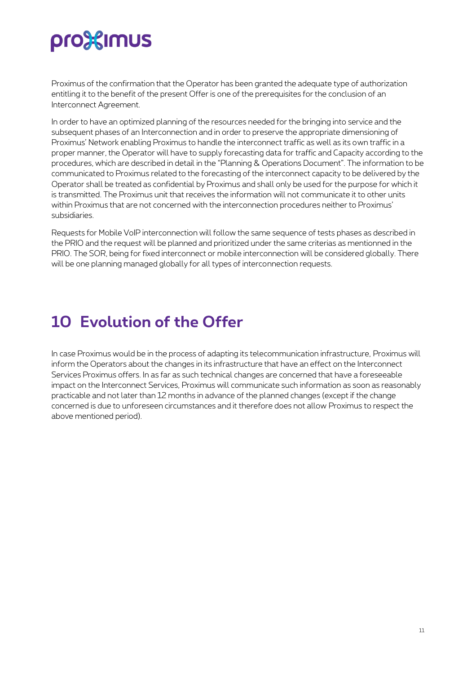Proximus of the confirmation that the Operator has been granted the adequate type of authorization entitling it to the benefit of the present Offer is one of the prerequisites for the conclusion of an Interconnect Agreement.

In order to have an optimized planning of the resources needed for the bringing into service and the subsequent phases of an Interconnection and in order to preserve the appropriate dimensioning of Proximus' Network enabling Proximus to handle the interconnect traffic as well as its own traffic in a proper manner, the Operator will have to supply forecasting data for traffic and Capacity according to the procedures, which are described in detail in the "Planning & Operations Document". The information to be communicated to Proximus related to the forecasting of the interconnect capacity to be delivered by the Operator shall be treated as confidential by Proximus and shall only be used for the purpose for which it is transmitted. The Proximus unit that receives the information will not communicate it to other units within Proximus that are not concerned with the interconnection procedures neither to Proximus' subsidiaries.

Requests for Mobile VoIP interconnection will follow the same sequence of tests phases as described in the PRIO and the request will be planned and prioritized under the same criterias as mentionned in the PRIO. The SOR, being for fixed interconnect or mobile interconnection will be considered globally. There will be one planning managed globally for all types of interconnection requests.

## <span id="page-10-0"></span>**10 Evolution of the Offer**

In case Proximus would be in the process of adapting its telecommunication infrastructure, Proximus will inform the Operators about the changes in its infrastructure that have an effect on the Interconnect Services Proximus offers. In as far as such technical changes are concerned that have a foreseeable impact on the Interconnect Services, Proximus will communicate such information as soon as reasonably practicable and not later than 12 months in advance of the planned changes (except if the change concerned is due to unforeseen circumstances and it therefore does not allow Proximus to respect the above mentioned period).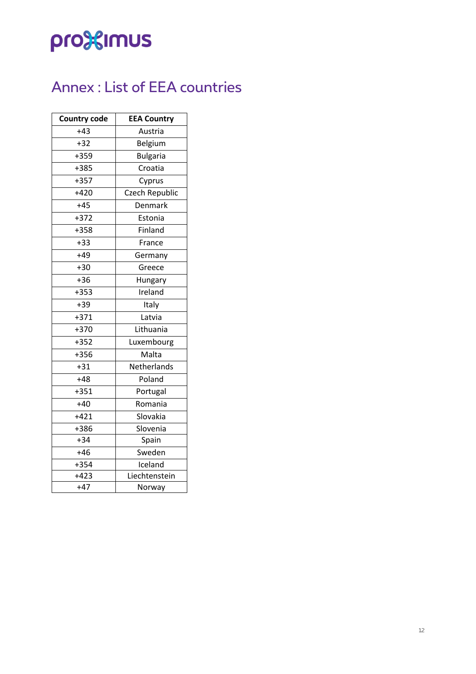### <span id="page-11-0"></span>Annex : List of EEA countries

| <b>Country code</b> | <b>EEA Country</b> |
|---------------------|--------------------|
| $+43$               | Austria            |
| $+32$               | Belgium            |
| +359                | <b>Bulgaria</b>    |
| +385                | Croatia            |
| $+357$              | Cyprus             |
| $+420$              | Czech Republic     |
| $+45$               | Denmark            |
| $+372$              | Estonia            |
| +358                | Finland            |
| $+33$               | France             |
| $+49$               | Germany            |
| $+30$               | Greece             |
| $+36$               | Hungary            |
| $+353$              | Ireland            |
| +39                 | Italy              |
| $+371$              | Latvia             |
| $+370$              | Lithuania          |
| $+352$              | Luxembourg         |
| +356                | Malta              |
| $+31$               | Netherlands        |
| $+48$               | Poland             |
| $+351$              | Portugal           |
| $+40$               | Romania            |
| $+421$              | Slovakia           |
| +386                | Slovenia           |
| $+34$               | Spain              |
| $+46$               | Sweden             |
| $+354$              | Iceland            |
| $+423$              | Liechtenstein      |
| $+47$               | Norway             |